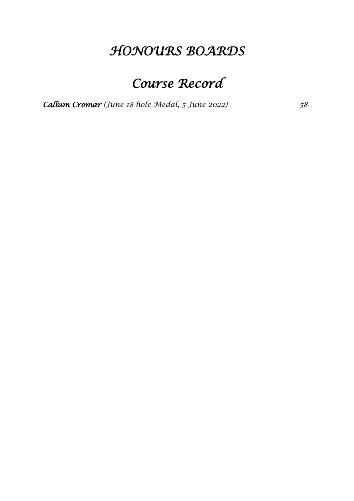### *HONOURS BOARDS*

### *Course Record*

*Callum Cromar (June 18 hole Medal, 5 June 2022) 58*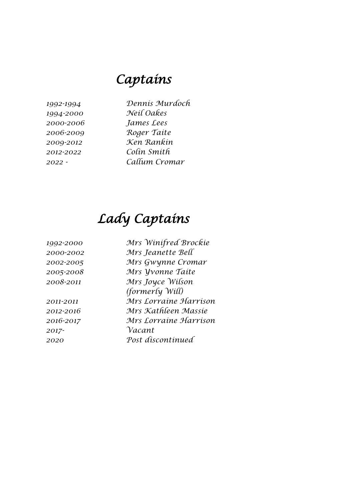## *Captains*

*1992-1994 1994-2000 2000-2006 2006-2009 2009-2012 2012-2022 2022 -*

*Dennis Murdoch Neil Oakes James Lees Roger Taite Ken Rankin Colin Smith Callum Cromar*

## *Lady Captains*

| 1992-2000 | Mrs Winifred Brockie  |
|-----------|-----------------------|
| 2000-2002 | Mrs Jeanette Bell     |
| 2002-2005 | Mrs Gwynne Cromar     |
| 2005-2008 | Mrs Wyonne Taite      |
| 2008-2011 | Mrs Joyce Wilson      |
|           | (formerly Will)       |
| 2011-2011 | Mrs Lorraine Harrison |
| 2012-2016 | Mrs Kathleen Massie   |
| 2016-2017 | Mrs Lorraine Harrison |
| 2017-     | Vacant                |
| 2020      | Post discontinued     |
|           |                       |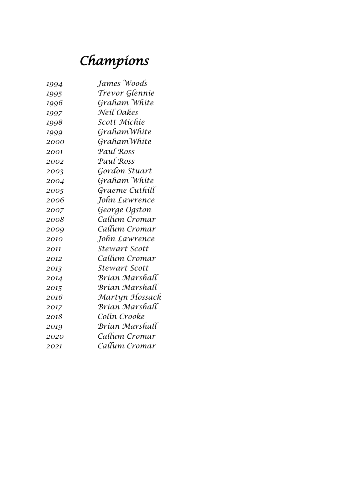# *Champions*

| 1994 | James Woods          |
|------|----------------------|
| 1995 | Trevor Glennie       |
| 1996 | Graham White         |
| 1997 | Neil Oakes           |
| 1998 | Scott Michie         |
| 1999 | Graham White         |
| 2000 | GrahamWhite          |
| 2001 | Paul Ross            |
| 2002 | Paul Ross            |
| 2003 | Gordon Stuart        |
| 2004 | Graham White         |
| 2005 | Graeme Cuthill       |
| 2006 | John Lawrence        |
| 2007 | George Ogston        |
| 2008 | Callum Cromar        |
| 2009 | Callum Cromar        |
| 2010 | John Lawrence        |
| 2011 | <b>Stewart Scott</b> |
| 2012 | Callum Cromar        |
| 2013 | Stewart Scott        |
| 2014 | Brían Marshall       |
| 2015 | Brían Marshall       |
| 2016 | Martyn Hossack       |
| 2017 | Brían Marshall       |
| 2018 | Colín Crooke         |
| 2019 | Brían Marshall       |
| 2020 | Callum Cromar        |
| 2021 | Callum Cromar        |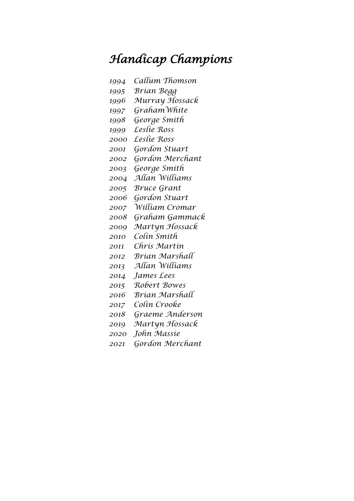#### *Handicap Champions*

- *Callum Thomson*
- *Brian Begg*
- *Murray Hossack*
- *GrahamWhite*
- *George Smith*
- *Leslie Ross*
- *Leslie Ross*
- *Gordon Stuart*
- *Gordon Merchant*
- *George Smith*
- *Allan Williams*
- *Bruce Grant*
- *Gordon Stuart*
- *William Cromar*
- *Graham Gammack*
- *Martyn Hossack*
- *Colin Smith*
- *Chris Martin*
- *Brian Marshall*
- *Allan Williams*
- *James Lees*
- *Robert Bowes*
- *Brian Marshall*
- *Colin Crooke*
- *Graeme Anderson*
- *Martyn Hossack*
- *John Massie*
- *Gordon Merchant*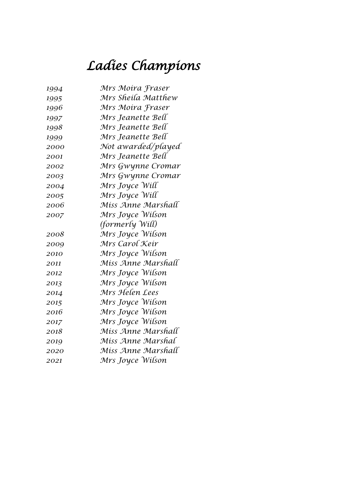## *Ladies Champions*

| 1994 | Mrs Moira Fraser   |
|------|--------------------|
| 1995 | Mrs Sheila Matthew |
| 1996 | Mrs Moira Fraser   |
| 1997 | Mrs Jeanette Bell  |
| 1998 | Mrs Jeanette Bell  |
| 1999 | Mrs Jeanette Bell  |
| 2000 | Not awarded/played |
| 2001 | Mrs Jeanette Bell  |
| 2002 | Mrs Gwynne Cromar  |
| 2003 | Mrs Gwynne Cromar  |
| 2004 | Mrs Joyce Will     |
| 2005 | Mrs Joyce Will     |
| 2006 | Miss Anne Marshall |
| 2007 | Mrs Joyce Wilson   |
|      | (formerly Will)    |
| 2008 | Mrs Joyce Wilson   |
| 2009 | Mrs Carol Keir     |
| 2010 | Mrs Joyce Wilson   |
| 2011 | Miss Anne Marshall |
| 2012 | Mrs Joyce Wilson   |
| 2013 | Mrs Joyce Wilson   |
| 2014 | Mrs Helen Lees     |
| 2015 | Mrs Joyce Wilson   |
| 2016 | Mrs Joyce Wilson   |
| 2017 | Mrs Joyce Wilson   |
| 2018 | Miss Anne Marshall |
| 2019 | Miss Anne Marshal  |
| 2020 | Miss Anne Marshall |
| 2021 | Mrs Joyce Wilson   |
|      |                    |